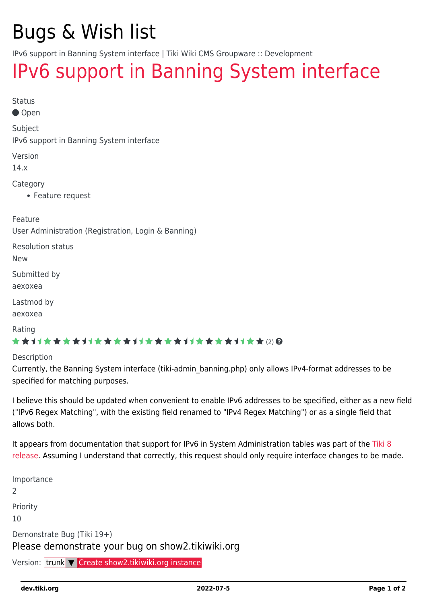# Bugs & Wish list

IPv6 support in Banning System interface | Tiki Wiki CMS Groupware :: Development

## [IPv6 support in Banning System interface](https://dev.tiki.org/item5765-IPv6-support-in-Banning-System-interface)

Status

● Open

Subject

IPv6 support in Banning System interface

Version

14.x

Category

Feature request

Feature

User Administration (Registration, Login & Banning)

Resolution status

New

Submitted by aexoxea

Lastmod by

aexoxea

Rating

#### \*\*\*\*\*\*\*\*\*\*\*\*\*\*\*\*\*\*\*\*\*\*\*\*\*\*\*\*\*\*

Description

Currently, the Banning System interface (tiki-admin\_banning.php) only allows IPv4-format addresses to be specified for matching purposes.

I believe this should be updated when convenient to enable IPv6 addresses to be specified, either as a new field ("IPv6 Regex Matching", with the existing field renamed to "IPv4 Regex Matching") or as a single field that allows both.

It appears from documentation that support for IPv6 in System Administration tables was part of the [Tiki 8](https://doc.tiki.org/Tiki8#IPv6) [release](https://doc.tiki.org/Tiki8#IPv6). Assuming I understand that correctly, this request should only require interface changes to be made.

Importance 2 Priority 10 Demonstrate Bug (Tiki 19+) Please demonstrate your bug on show2.tikiwiki.org Version: trunk ▼ [Create show2.tikiwiki.org instance](#page--1-0)